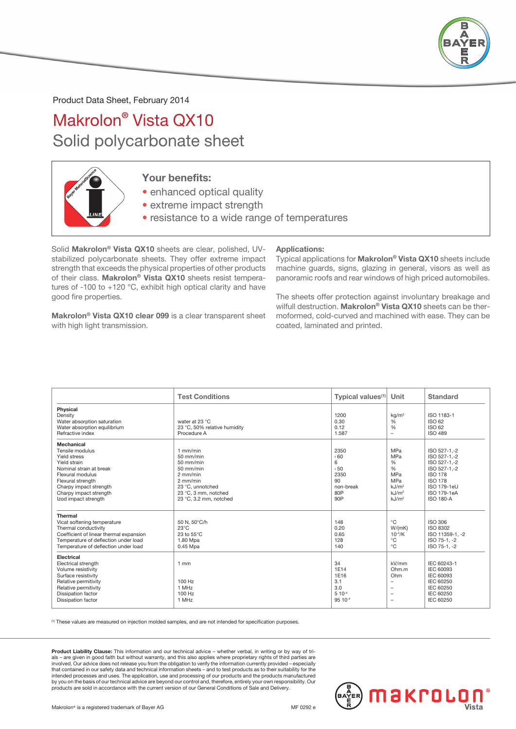

Product Data Sheet, February 2014

## Makrolon® Vista QX10 Solid polycarbonate sheet



## Your benefits:

• enhanced optical quality

- extreme impact strength
- resistance to a wide range of temperatures

Solid Makrolon® Vista QX10 sheets are clear, polished, UVstabilized polycarbonate sheets. They offer extreme impact strength that exceeds the physical properties of other products of their class. Makrolon® Vista QX10 sheets resist temperatures of -100 to +120 °C, exhibit high optical clarity and have good fire properties.

Makrolon® Vista QX10 clear 099 is a clear transparent sheet with high light transmission.

## Applications:

Typical applications for Makrolon® Vista QX10 sheets include machine guards, signs, glazing in general, visors as well as panoramic roofs and rear windows of high priced automobiles.

The sheets offer protection against involuntary breakage and wilfull destruction. Makrolon<sup>®</sup> Vista QX10 sheets can be thermoformed, cold-curved and machined with ease. They can be coated, laminated and printed.

|                                                                                                                                                                                                               | <b>Test Conditions</b>                                                                                                                                    | <b>Typical values</b> $(1)$                                       | Unit                                                                                                                                      | Standard                                                                                                                                           |
|---------------------------------------------------------------------------------------------------------------------------------------------------------------------------------------------------------------|-----------------------------------------------------------------------------------------------------------------------------------------------------------|-------------------------------------------------------------------|-------------------------------------------------------------------------------------------------------------------------------------------|----------------------------------------------------------------------------------------------------------------------------------------------------|
| Physical<br>Density<br>Water absorption saturation<br>Water absorption equilibrium<br>Refractive index                                                                                                        | water at 23 °C<br>23 °C, 50% relative humidity<br>Procedure A                                                                                             | 1200<br>0.30<br>0.12<br>1.587                                     | kq/m <sup>3</sup><br>$\frac{6}{6}$<br>%<br>$\overline{\phantom{m}}$                                                                       | ISO 1183-1<br>ISO 62<br>ISO 62<br><b>ISO 489</b>                                                                                                   |
| Mechanical<br>Tensile modulus<br>Yield stress<br>Yield strain<br>Nominal strain at break<br>Flexural modulus<br>Flexural strength<br>Charpy impact strength<br>Charpy impact strength<br>Izod impact strength | $1$ mm/min<br>$50$ mm/min<br>$50$ mm/min<br>$50$ mm/min<br>$2$ mm/min<br>$2$ mm/min<br>23 °C, unnotched<br>23 °C, 3 mm, notched<br>23 °C, 3.2 mm, notched | 2350<br>560<br>6<br>, 50<br>2350<br>90<br>non-break<br>80P<br>90P | <b>MPa</b><br><b>MPa</b><br>%<br>$\frac{0}{6}$<br><b>MPa</b><br><b>MPa</b><br>kJ/m <sup>2</sup><br>kJ/m <sup>2</sup><br>kJ/m <sup>2</sup> | ISO 527-1 -2<br>ISO 527-1,-2<br>ISO 527-1,-2<br>ISO 527-1,-2<br><b>ISO 178</b><br><b>ISO 178</b><br>ISO 179-1eU<br>ISO 179-1eA<br><b>ISO 180-A</b> |
| <b>Thermal</b><br>Vicat softening temperature<br>Thermal conductivity<br>Coefficient of linear thermal expansion<br>Temperature of deflection under load<br>Temperature of deflection under load              | 50 N, 50°C/h<br>$23^{\circ}$ C<br>23 to 55°C<br>1.80 Mpa<br>0.45 Mpa                                                                                      | 148<br>0.20<br>0.65<br>128<br>140                                 | $^{\circ}C$<br>W/(mK)<br>$10^{-4}/K$<br>$^{\circ}C$<br>$^{\circ}C$                                                                        | <b>ISO 306</b><br>ISO 8302<br>ISO 11359-1. - 2<br>ISO 75-1.-2<br>ISO 75-1.-2                                                                       |
| Electrical<br>Electrical strength<br>Volume resistivity<br>Surface resistivity<br>Relative permitivity<br>Relative permitivity<br>Dissipation factor<br><b>Dissipation factor</b>                             | $1$ mm<br>100 Hz<br>1 MHz<br>100 Hz<br>1 MHz                                                                                                              | 34<br>1E14<br>1E16<br>3.1<br>3.0<br>$5 10^{-4}$<br>95 10-4        | kV/mm<br>Ohm.m<br>Ohm<br>$\overline{\phantom{a}}$<br>$\overline{\phantom{m}}$<br>$\overline{\phantom{a}}$<br>$\overline{\phantom{a}}$     | IEC 60243-1<br><b>IEC 60093</b><br>IEC 60093<br>IEC 60250<br>IEC 60250<br>IEC 60250<br><b>IEC 60250</b>                                            |

(1) These values are measured on injection molded samples, and are not intended for specification purposes.

Product Liability Clause: This information and our technical advice – whether verbal, in writing or by way of trials – are given in good faith but without warranty, and this also applies where proprietary rights of third parties are<br>involved. Our advice does not release you from the obligation to verify the information currently prov that contained in our safety data and technical information sheets – and to test products as to their suitability for the intended processes and uses. The application, use and processing of our products and the products manufactured by you on the basis of our technical advice are beyond our control and, therefore, entirely your own responsibility. Our<br>products are sold in accordance with the current version of our General Conditions of Sale and Delive